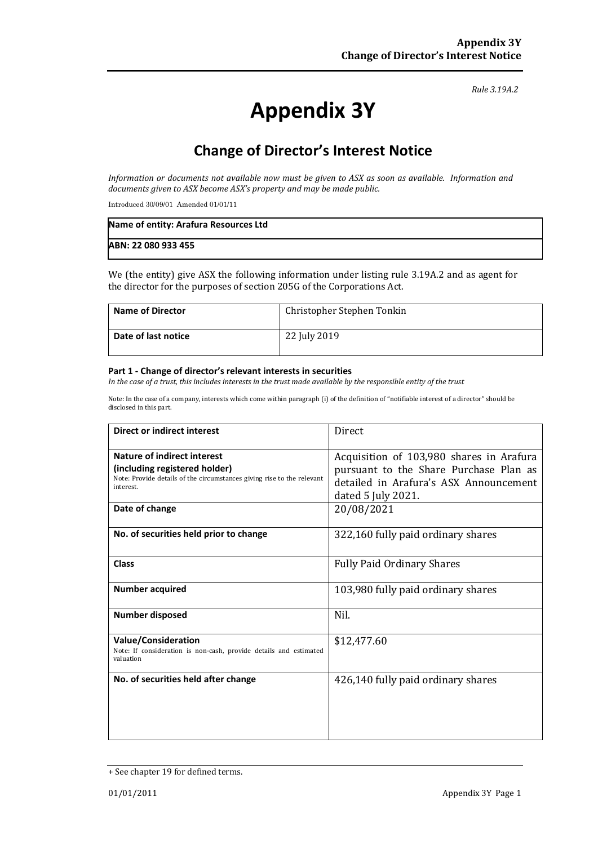*Rule 3.19A.2*

# **Appendix 3Y**

# **Change of Director's Interest Notice**

*Information or documents not available now must be given to ASX as soon as available. Information and documents given to ASX become ASX's property and may be made public.*

Introduced 30/09/01 Amended 01/01/11

| Name of entity: Arafura Resources Ltd |  |
|---------------------------------------|--|
| ABN: 22 080 933 455                   |  |

We (the entity) give ASX the following information under listing rule 3.19A.2 and as agent for the director for the purposes of section 205G of the Corporations Act.

| <b>Name of Director</b> | Christopher Stephen Tonkin |
|-------------------------|----------------------------|
| Date of last notice     | 22 July 2019               |

#### **Part 1 - Change of director's relevant interests in securities**

*In the case of a trust, this includes interests in the trust made available by the responsible entity of the trust*

Note: In the case of a company, interests which come within paragraph (i) of the definition of "notifiable interest of a director" should be disclosed in this part.

| Direct or indirect interest                                                                                                                                           | Direct                                                                                                                                                           |
|-----------------------------------------------------------------------------------------------------------------------------------------------------------------------|------------------------------------------------------------------------------------------------------------------------------------------------------------------|
| Nature of indirect interest<br>(including registered holder)<br>Note: Provide details of the circumstances giving rise to the relevant<br>interest.<br>Date of change | Acquisition of 103,980 shares in Arafura<br>pursuant to the Share Purchase Plan as<br>detailed in Arafura's ASX Announcement<br>dated 5 July 2021.<br>20/08/2021 |
| No. of securities held prior to change                                                                                                                                | 322,160 fully paid ordinary shares                                                                                                                               |
| Class                                                                                                                                                                 | <b>Fully Paid Ordinary Shares</b>                                                                                                                                |
| <b>Number acquired</b>                                                                                                                                                | 103,980 fully paid ordinary shares                                                                                                                               |
| Number disposed                                                                                                                                                       | Nil.                                                                                                                                                             |
| <b>Value/Consideration</b><br>Note: If consideration is non-cash, provide details and estimated<br>valuation                                                          | \$12,477.60                                                                                                                                                      |
| No. of securities held after change                                                                                                                                   | 426,140 fully paid ordinary shares                                                                                                                               |

<sup>+</sup> See chapter 19 for defined terms.